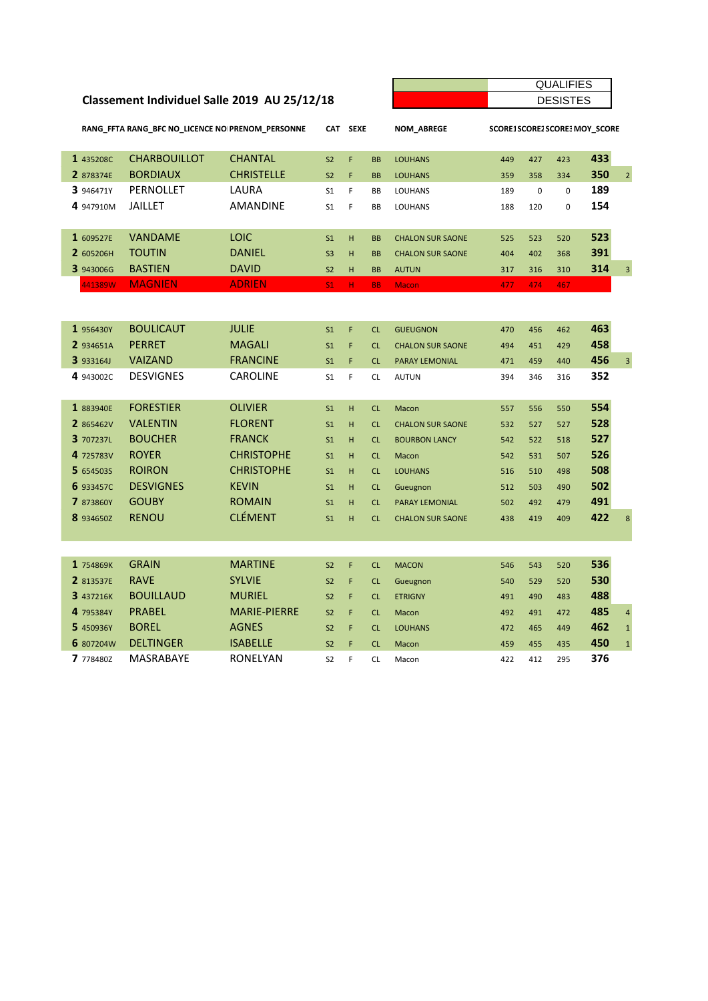## **Classement Individuel Salle 2019 AU 25/12/18**

| <b>QUALIFIES</b>    |
|---------------------|
| <b>SISTES</b><br>וו |

| RANG FFTA RANG BFC NO LICENCE NO PRENOM PERSONNE |           |                     | <b>SEXE</b><br><b>CAT</b> |                |    | <b>NOM ABREGE</b> | SCORE1SCORE2SCORE3 MOY SCORE |     |     |     |     |                |
|--------------------------------------------------|-----------|---------------------|---------------------------|----------------|----|-------------------|------------------------------|-----|-----|-----|-----|----------------|
|                                                  | 1 435208C | <b>CHARBOUILLOT</b> | <b>CHANTAL</b>            | S <sub>2</sub> | F  | <b>BB</b>         | <b>LOUHANS</b>               | 449 | 427 | 423 | 433 |                |
|                                                  | 2 878374E | <b>BORDIAUX</b>     | <b>CHRISTELLE</b>         | S <sub>2</sub> | F  | <b>BB</b>         | <b>LOUHANS</b>               | 359 | 358 | 334 | 350 | $\overline{2}$ |
|                                                  | 3 946471Y | PERNOLLET           | LAURA                     | S <sub>1</sub> | F  | <b>BB</b>         | <b>LOUHANS</b>               | 189 | 0   | 0   | 189 |                |
|                                                  | 4 947910M | <b>JAILLET</b>      | <b>AMANDINE</b>           | S <sub>1</sub> | F  | <b>BB</b>         | <b>LOUHANS</b>               | 188 | 120 | 0   | 154 |                |
|                                                  |           |                     |                           |                |    |                   |                              |     |     |     |     |                |
|                                                  | 1 609527E | <b>VANDAME</b>      | <b>LOIC</b>               | S <sub>1</sub> | H  | <b>BB</b>         | <b>CHALON SUR SAONE</b>      | 525 | 523 | 520 | 523 |                |
|                                                  | 2 605206H | <b>TOUTIN</b>       | <b>DANIEL</b>             | S <sub>3</sub> | H  | <b>BB</b>         | <b>CHALON SUR SAONE</b>      | 404 | 402 | 368 | 391 |                |
|                                                  | 3 943006G | <b>BASTIEN</b>      | <b>DAVID</b>              | S <sub>2</sub> | H  | <b>BB</b>         | <b>AUTUN</b>                 | 317 | 316 | 310 | 314 | 3              |
|                                                  | 441389W   | <b>MAGNIEN</b>      | <b>ADRIEN</b>             | S1             | H. | <b>BB</b>         | <b>Macon</b>                 | 477 | 474 | 467 |     |                |

| 1 956430Y        | <b>BOULICAUT</b> | <b>JULIE</b>        | S <sub>1</sub> | F | <b>CL</b> | <b>GUEUGNON</b>         | 470 | 456 | 462 | 463 |                |
|------------------|------------------|---------------------|----------------|---|-----------|-------------------------|-----|-----|-----|-----|----------------|
| 2 934651A        | <b>PERRET</b>    | <b>MAGALI</b>       | S <sub>1</sub> | F | <b>CL</b> | <b>CHALON SUR SAONE</b> | 494 | 451 | 429 | 458 |                |
| <b>3</b> 933164J | <b>VAIZAND</b>   | <b>FRANCINE</b>     | S <sub>1</sub> | F | <b>CL</b> | <b>PARAY LEMONIAL</b>   | 471 | 459 | 440 | 456 | $\overline{3}$ |
| 4 943002C        | <b>DESVIGNES</b> | <b>CAROLINE</b>     | S <sub>1</sub> | F | <b>CL</b> | <b>AUTUN</b>            | 394 | 346 | 316 | 352 |                |
|                  |                  |                     |                |   |           |                         |     |     |     |     |                |
| 1 883940E        | <b>FORESTIER</b> | <b>OLIVIER</b>      | S <sub>1</sub> | H | <b>CL</b> | Macon                   | 557 | 556 | 550 | 554 |                |
| 2 865462V        | <b>VALENTIN</b>  | <b>FLORENT</b>      | S <sub>1</sub> | H | CL        | <b>CHALON SUR SAONE</b> | 532 | 527 | 527 | 528 |                |
| 3 707237L        | <b>BOUCHER</b>   | <b>FRANCK</b>       | S <sub>1</sub> | H | <b>CL</b> | <b>BOURBON LANCY</b>    | 542 | 522 | 518 | 527 |                |
| 4 725783V        | <b>ROYER</b>     | <b>CHRISTOPHE</b>   | S <sub>1</sub> | H | <b>CL</b> | Macon                   | 542 | 531 | 507 | 526 |                |
| 5 6545035        | <b>ROIRON</b>    | <b>CHRISTOPHE</b>   | S <sub>1</sub> | H | <b>CL</b> | <b>LOUHANS</b>          | 516 | 510 | 498 | 508 |                |
| 6 933457C        | <b>DESVIGNES</b> | <b>KEVIN</b>        | S <sub>1</sub> | H | <b>CL</b> | Gueugnon                | 512 | 503 | 490 | 502 |                |
| 7 873860Y        | <b>GOUBY</b>     | <b>ROMAIN</b>       | S <sub>1</sub> | H | <b>CL</b> | <b>PARAY LEMONIAL</b>   | 502 | 492 | 479 | 491 |                |
| 8 934650Z        | <b>RENOU</b>     | <b>CLÉMENT</b>      | S <sub>1</sub> | H | <b>CL</b> | <b>CHALON SUR SAONE</b> | 438 | 419 | 409 | 422 | 8              |
|                  |                  |                     |                |   |           |                         |     |     |     |     |                |
|                  |                  |                     |                |   |           |                         |     |     |     |     |                |
| 1 754869K        | <b>GRAIN</b>     | <b>MARTINE</b>      | S <sub>2</sub> | F | <b>CL</b> | <b>MACON</b>            | 546 | 543 | 520 | 536 |                |
| 2 813537E        | <b>RAVE</b>      | <b>SYLVIE</b>       | S <sub>2</sub> | F | <b>CL</b> | Gueugnon                | 540 | 529 | 520 | 530 |                |
| 3 437216K        | <b>BOUILLAUD</b> | <b>MURIEL</b>       | S <sub>2</sub> | F | <b>CL</b> | <b>ETRIGNY</b>          | 491 | 490 | 483 | 488 |                |
| 4 795384Y        | <b>PRABEL</b>    | <b>MARIE-PIERRE</b> | S <sub>2</sub> | F | <b>CL</b> | Macon                   | 492 | 491 | 472 | 485 | $\overline{4}$ |
| 5 450936Y        | <b>BOREL</b>     | <b>AGNES</b>        | S <sub>2</sub> | F | <b>CL</b> | <b>LOUHANS</b>          | 472 | 465 | 449 | 462 | $\overline{1}$ |
| 6 807204W        | <b>DELTINGER</b> | <b>ISABELLE</b>     | S <sub>2</sub> | F | <b>CL</b> | Macon                   | 459 | 455 | 435 | 450 | $\mathbf 1$    |
| 7 778480Z        | <b>MASRABAYE</b> | <b>RONELYAN</b>     | S <sub>2</sub> | F | <b>CL</b> | Macon                   | 422 | 412 | 295 | 376 |                |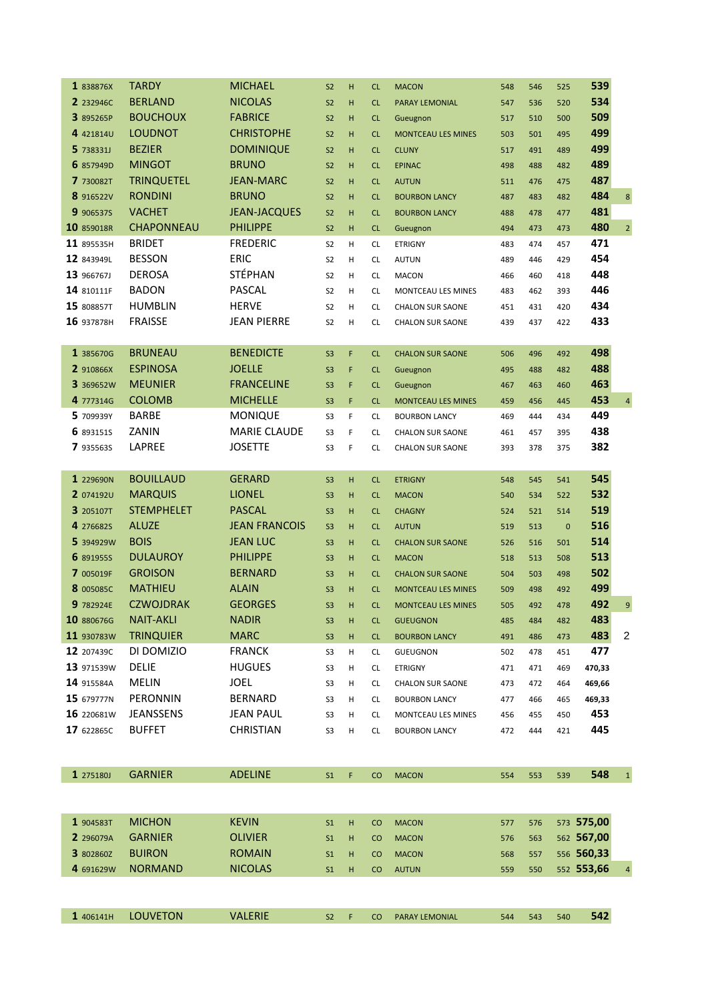| <b>TARDY</b><br>1 838876X       | <b>MICHAEL</b>                                                                                                                                                    | S <sub>2</sub>                                                                                                                                                                                                              | H                                                              | CL               | <b>MACON</b>                                    | 548                                                                                                                                                                                                                                      | 546                             | 525                                    | 539                             |                                                                                                                                         |
|---------------------------------|-------------------------------------------------------------------------------------------------------------------------------------------------------------------|-----------------------------------------------------------------------------------------------------------------------------------------------------------------------------------------------------------------------------|----------------------------------------------------------------|------------------|-------------------------------------------------|------------------------------------------------------------------------------------------------------------------------------------------------------------------------------------------------------------------------------------------|---------------------------------|----------------------------------------|---------------------------------|-----------------------------------------------------------------------------------------------------------------------------------------|
| <b>BERLAND</b><br>2 232946C     | <b>NICOLAS</b>                                                                                                                                                    | S <sub>2</sub>                                                                                                                                                                                                              | H                                                              | CL               | PARAY LEMONIAL                                  | 547                                                                                                                                                                                                                                      | 536                             | 520                                    | 534                             |                                                                                                                                         |
| <b>BOUCHOUX</b>                 | <b>FABRICE</b>                                                                                                                                                    | S <sub>2</sub>                                                                                                                                                                                                              | H                                                              | CL               | Gueugnon                                        | 517                                                                                                                                                                                                                                      | 510                             | 500                                    | 509                             |                                                                                                                                         |
| <b>LOUDNOT</b><br>4 421814U     | <b>CHRISTOPHE</b>                                                                                                                                                 | S <sub>2</sub>                                                                                                                                                                                                              | H                                                              | CL               | <b>MONTCEAU LES MINES</b>                       | 503                                                                                                                                                                                                                                      | 501                             | 495                                    | 499                             |                                                                                                                                         |
| <b>BEZIER</b>                   | <b>DOMINIQUE</b>                                                                                                                                                  | S <sub>2</sub>                                                                                                                                                                                                              | H                                                              | CL               | <b>CLUNY</b>                                    | 517                                                                                                                                                                                                                                      | 491                             | 489                                    | 499                             |                                                                                                                                         |
| <b>MINGOT</b><br>6 857949D      | <b>BRUNO</b>                                                                                                                                                      | S <sub>2</sub>                                                                                                                                                                                                              | H                                                              | CL               | <b>EPINAC</b>                                   | 498                                                                                                                                                                                                                                      | 488                             | 482                                    | 489                             |                                                                                                                                         |
| <b>TRINQUETEL</b>               | <b>JEAN-MARC</b>                                                                                                                                                  | S <sub>2</sub>                                                                                                                                                                                                              | H                                                              | CL               | <b>AUTUN</b>                                    | 511                                                                                                                                                                                                                                      | 476                             | 475                                    | 487                             |                                                                                                                                         |
| <b>RONDINI</b><br>8 916522V     | <b>BRUNO</b>                                                                                                                                                      | S <sub>2</sub>                                                                                                                                                                                                              | H                                                              | CL               | <b>BOURBON LANCY</b>                            | 487                                                                                                                                                                                                                                      | 483                             | 482                                    | 484                             | $\bf 8$                                                                                                                                 |
| <b>VACHET</b>                   |                                                                                                                                                                   | S <sub>2</sub>                                                                                                                                                                                                              | H                                                              | CL               | <b>BOURBON LANCY</b>                            | 488                                                                                                                                                                                                                                      | 478                             | 477                                    | 481                             |                                                                                                                                         |
| <b>CHAPONNEAU</b><br>10 859018R | <b>PHILIPPE</b>                                                                                                                                                   | S <sub>2</sub>                                                                                                                                                                                                              | H                                                              | CL               | Gueugnon                                        | 494                                                                                                                                                                                                                                      | 473                             | 473                                    | 480                             | $\overline{2}$                                                                                                                          |
| <b>BRIDET</b><br>11 895535H     | <b>FREDERIC</b>                                                                                                                                                   | S <sub>2</sub>                                                                                                                                                                                                              | H                                                              | <b>CL</b>        | <b>ETRIGNY</b>                                  | 483                                                                                                                                                                                                                                      | 474                             | 457                                    | 471                             |                                                                                                                                         |
| <b>BESSON</b><br>12 843949L     | <b>ERIC</b>                                                                                                                                                       | S <sub>2</sub>                                                                                                                                                                                                              | н                                                              | <b>CL</b>        | <b>AUTUN</b>                                    | 489                                                                                                                                                                                                                                      | 446                             | 429                                    | 454                             |                                                                                                                                         |
| <b>DEROSA</b>                   | <b>STÉPHAN</b>                                                                                                                                                    | S <sub>2</sub>                                                                                                                                                                                                              | H                                                              | <b>CL</b>        | <b>MACON</b>                                    | 466                                                                                                                                                                                                                                      | 460                             | 418                                    | 448                             |                                                                                                                                         |
| <b>BADON</b>                    | PASCAL                                                                                                                                                            | S <sub>2</sub>                                                                                                                                                                                                              | H                                                              | <b>CL</b>        | MONTCEAU LES MINES                              | 483                                                                                                                                                                                                                                      | 462                             | 393                                    | 446                             |                                                                                                                                         |
| 15 808857T<br><b>HUMBLIN</b>    | <b>HERVE</b>                                                                                                                                                      | S <sub>2</sub>                                                                                                                                                                                                              | H                                                              | <b>CL</b>        | <b>CHALON SUR SAONE</b>                         | 451                                                                                                                                                                                                                                      | 431                             | 420                                    | 434                             |                                                                                                                                         |
| <b>FRAISSE</b><br>16 937878H    | <b>JEAN PIERRE</b>                                                                                                                                                | S <sub>2</sub>                                                                                                                                                                                                              | H                                                              | <b>CL</b>        | <b>CHALON SUR SAONE</b>                         | 439                                                                                                                                                                                                                                      | 437                             | 422                                    | 433                             |                                                                                                                                         |
|                                 |                                                                                                                                                                   |                                                                                                                                                                                                                             |                                                                |                  |                                                 |                                                                                                                                                                                                                                          |                                 |                                        |                                 |                                                                                                                                         |
| <b>BRUNEAU</b><br>1 385670G     | <b>BENEDICTE</b>                                                                                                                                                  | S <sub>3</sub>                                                                                                                                                                                                              | F                                                              | CL               | <b>CHALON SUR SAONE</b>                         | 506                                                                                                                                                                                                                                      | 496                             | 492                                    | 498                             |                                                                                                                                         |
| <b>ESPINOSA</b><br>2 910866X    | <b>JOELLE</b>                                                                                                                                                     | S <sub>3</sub>                                                                                                                                                                                                              | F                                                              | CL               | Gueugnon                                        | 495                                                                                                                                                                                                                                      | 488                             | 482                                    | 488                             |                                                                                                                                         |
| <b>MEUNIER</b><br>3 369652W     | <b>FRANCELINE</b>                                                                                                                                                 | S <sub>3</sub>                                                                                                                                                                                                              | F                                                              | CL               | Gueugnon                                        | 467                                                                                                                                                                                                                                      | 463                             | 460                                    | 463                             |                                                                                                                                         |
| 4 777314G                       |                                                                                                                                                                   | S <sub>3</sub>                                                                                                                                                                                                              | F                                                              | CL               | <b>MONTCEAU LES MINES</b>                       | 459                                                                                                                                                                                                                                      | 456                             | 445                                    |                                 | $\overline{\mathbf{4}}$                                                                                                                 |
| 5 709939Y                       |                                                                                                                                                                   | S <sub>3</sub>                                                                                                                                                                                                              | $\mathsf F$                                                    | <b>CL</b>        |                                                 | 469                                                                                                                                                                                                                                      | 444                             | 434                                    | 449                             |                                                                                                                                         |
|                                 |                                                                                                                                                                   |                                                                                                                                                                                                                             | F                                                              |                  |                                                 |                                                                                                                                                                                                                                          |                                 |                                        |                                 |                                                                                                                                         |
|                                 |                                                                                                                                                                   |                                                                                                                                                                                                                             |                                                                |                  |                                                 |                                                                                                                                                                                                                                          |                                 |                                        |                                 |                                                                                                                                         |
|                                 |                                                                                                                                                                   |                                                                                                                                                                                                                             |                                                                |                  |                                                 |                                                                                                                                                                                                                                          |                                 |                                        |                                 |                                                                                                                                         |
| 1 229690N                       |                                                                                                                                                                   | S <sub>3</sub>                                                                                                                                                                                                              | H                                                              | CL               |                                                 | 548                                                                                                                                                                                                                                      | 545                             | 541                                    |                                 |                                                                                                                                         |
| <b>MARQUIS</b><br>2 074192U     | <b>LIONEL</b>                                                                                                                                                     | S <sub>3</sub>                                                                                                                                                                                                              | H                                                              | CL               | <b>MACON</b>                                    | 540                                                                                                                                                                                                                                      | 534                             | 522                                    | 532                             |                                                                                                                                         |
| <b>STEMPHELET</b><br>3 205107T  | <b>PASCAL</b>                                                                                                                                                     | S <sub>3</sub>                                                                                                                                                                                                              | H                                                              | CL               | <b>CHAGNY</b>                                   | 524                                                                                                                                                                                                                                      | 521                             | 514                                    | 519                             |                                                                                                                                         |
| <b>ALUZE</b>                    | <b>JEAN FRANCOIS</b>                                                                                                                                              | S <sub>3</sub>                                                                                                                                                                                                              | H                                                              | CL               | <b>AUTUN</b>                                    | 519                                                                                                                                                                                                                                      | 513                             | $\mathbf 0$                            | 516                             |                                                                                                                                         |
| <b>BOIS</b><br>5 394929W        |                                                                                                                                                                   | S <sub>3</sub>                                                                                                                                                                                                              | H                                                              | CL               |                                                 | 526                                                                                                                                                                                                                                      |                                 | 501                                    |                                 |                                                                                                                                         |
| <b>DULAUROY</b>                 | <b>PHILIPPE</b>                                                                                                                                                   | S <sub>3</sub>                                                                                                                                                                                                              | H                                                              | CL               | <b>MACON</b>                                    | 518                                                                                                                                                                                                                                      | 513                             | 508                                    | 513                             |                                                                                                                                         |
| <b>GROISON</b>                  | <b>BERNARD</b>                                                                                                                                                    | S <sub>3</sub>                                                                                                                                                                                                              | H                                                              | CL               | <b>CHALON SUR SAONE</b>                         | 504                                                                                                                                                                                                                                      | 503                             | 498                                    | 502                             |                                                                                                                                         |
| <b>MATHIEU</b><br>8 005085C     | <b>ALAIN</b>                                                                                                                                                      | S <sub>3</sub>                                                                                                                                                                                                              | H                                                              | CL               | <b>MONTCEAU LES MINES</b>                       | 509                                                                                                                                                                                                                                      | 498                             | 492                                    | 499                             |                                                                                                                                         |
| <b>CZWOJDRAK</b>                | <b>GEORGES</b>                                                                                                                                                    | S <sub>3</sub>                                                                                                                                                                                                              | H                                                              | <b>CL</b>        | <b>MONTCEAU LES MINES</b>                       | 505                                                                                                                                                                                                                                      | 492                             | 478                                    | 492                             | $\overline{9}$                                                                                                                          |
| 10 880676G                      |                                                                                                                                                                   |                                                                                                                                                                                                                             |                                                                |                  |                                                 |                                                                                                                                                                                                                                          |                                 |                                        |                                 |                                                                                                                                         |
| 11 930783W                      |                                                                                                                                                                   | S <sub>3</sub>                                                                                                                                                                                                              | н                                                              | <b>CL</b>        |                                                 | 491                                                                                                                                                                                                                                      | 486                             | 473                                    |                                 | 2                                                                                                                                       |
| 12 207439C<br>DI DOMIZIO        | <b>FRANCK</b>                                                                                                                                                     | S <sub>3</sub>                                                                                                                                                                                                              | н                                                              | <b>CL</b>        | <b>GUEUGNON</b>                                 | 502                                                                                                                                                                                                                                      | 478                             | 451                                    | 477                             |                                                                                                                                         |
| 13 971539W<br>DELIE             | <b>HUGUES</b>                                                                                                                                                     | S3                                                                                                                                                                                                                          | н                                                              | CL               | <b>ETRIGNY</b>                                  | 471                                                                                                                                                                                                                                      | 471                             | 469                                    | 470,33                          |                                                                                                                                         |
| 14 915584A                      |                                                                                                                                                                   | S <sub>3</sub>                                                                                                                                                                                                              | н                                                              | CL               | <b>CHALON SUR SAONE</b>                         | 473                                                                                                                                                                                                                                      | 472                             | 464                                    |                                 |                                                                                                                                         |
| 15 679777N<br>PERONNIN          | <b>BERNARD</b>                                                                                                                                                    | S <sub>3</sub>                                                                                                                                                                                                              | н                                                              | CL               |                                                 | 477                                                                                                                                                                                                                                      | 466                             | 465                                    |                                 |                                                                                                                                         |
| 16 220681W                      |                                                                                                                                                                   |                                                                                                                                                                                                                             |                                                                |                  |                                                 |                                                                                                                                                                                                                                          |                                 |                                        |                                 |                                                                                                                                         |
| 17 622865C                      |                                                                                                                                                                   |                                                                                                                                                                                                                             |                                                                |                  |                                                 |                                                                                                                                                                                                                                          |                                 |                                        |                                 |                                                                                                                                         |
|                                 |                                                                                                                                                                   |                                                                                                                                                                                                                             |                                                                |                  |                                                 |                                                                                                                                                                                                                                          |                                 |                                        |                                 |                                                                                                                                         |
|                                 |                                                                                                                                                                   |                                                                                                                                                                                                                             |                                                                |                  |                                                 |                                                                                                                                                                                                                                          |                                 |                                        |                                 |                                                                                                                                         |
| <b>GARNIER</b>                  | <b>ADELINE</b>                                                                                                                                                    | S <sub>1</sub>                                                                                                                                                                                                              | $\mathsf F$                                                    | CO               | <b>MACON</b>                                    | 554                                                                                                                                                                                                                                      | 553                             | 539                                    | 548                             | $\mathbf 1$                                                                                                                             |
|                                 |                                                                                                                                                                   |                                                                                                                                                                                                                             |                                                                |                  |                                                 |                                                                                                                                                                                                                                          |                                 |                                        |                                 |                                                                                                                                         |
|                                 |                                                                                                                                                                   |                                                                                                                                                                                                                             |                                                                |                  |                                                 |                                                                                                                                                                                                                                          |                                 |                                        |                                 |                                                                                                                                         |
| <b>MICHON</b><br>1 904583T      | <b>KEVIN</b>                                                                                                                                                      | S <sub>1</sub>                                                                                                                                                                                                              | н                                                              | <sub>co</sub>    | <b>MACON</b>                                    | 577                                                                                                                                                                                                                                      | 576                             |                                        |                                 |                                                                                                                                         |
| <b>GARNIER</b><br>2 296079A     | <b>OLIVIER</b>                                                                                                                                                    | S <sub>1</sub>                                                                                                                                                                                                              | н                                                              | <sub>co</sub>    | <b>MACON</b>                                    | 576                                                                                                                                                                                                                                      | 563                             |                                        |                                 |                                                                                                                                         |
| <b>BUIRON</b><br>3 802860Z      | <b>ROMAIN</b>                                                                                                                                                     | S <sub>1</sub>                                                                                                                                                                                                              | н                                                              | <sub>co</sub>    | <b>MACON</b>                                    | 568                                                                                                                                                                                                                                      | 557                             |                                        |                                 |                                                                                                                                         |
| <b>NORMAND</b><br>4 691629W     | <b>NICOLAS</b>                                                                                                                                                    | S <sub>1</sub>                                                                                                                                                                                                              | н                                                              | CO               | <b>AUTUN</b>                                    | 559                                                                                                                                                                                                                                      | 550                             |                                        |                                 | 4                                                                                                                                       |
|                                 |                                                                                                                                                                   |                                                                                                                                                                                                                             |                                                                |                  |                                                 |                                                                                                                                                                                                                                          |                                 |                                        |                                 |                                                                                                                                         |
|                                 |                                                                                                                                                                   |                                                                                                                                                                                                                             |                                                                |                  |                                                 |                                                                                                                                                                                                                                          |                                 |                                        |                                 |                                                                                                                                         |
| <b>LOUVETON</b><br>1 406141H    | <b>VALERIE</b>                                                                                                                                                    | S <sub>2</sub>                                                                                                                                                                                                              | $\mathsf F$                                                    | CO               | PARAY LEMONIAL                                  | 544                                                                                                                                                                                                                                      | 543                             | 540                                    | 542                             |                                                                                                                                         |
|                                 | <b>COLOMB</b><br><b>BARBE</b><br>ZANIN<br>LAPREE<br><b>BOUILLAUD</b><br><b>NAIT-AKLI</b><br><b>TRINQUIER</b><br><b>MELIN</b><br><b>JEANSSENS</b><br><b>BUFFET</b> | <b>JEAN-JACQUES</b><br><b>MICHELLE</b><br><b>MONIQUE</b><br><b>MARIE CLAUDE</b><br><b>JOSETTE</b><br><b>GERARD</b><br><b>JEAN LUC</b><br><b>NADIR</b><br><b>MARC</b><br><b>JOEL</b><br><b>JEAN PAUL</b><br><b>CHRISTIAN</b> | S <sub>3</sub><br>S <sub>3</sub><br>S <sub>3</sub><br>S3<br>S3 | F<br>н<br>н<br>н | <b>CL</b><br><b>CL</b><br>CL<br>CL<br><b>CL</b> | <b>BOURBON LANCY</b><br><b>CHALON SUR SAONE</b><br><b>CHALON SUR SAONE</b><br><b>ETRIGNY</b><br><b>CHALON SUR SAONE</b><br><b>GUEUGNON</b><br><b>BOURBON LANCY</b><br><b>BOURBON LANCY</b><br>MONTCEAU LES MINES<br><b>BOURBON LANCY</b> | 461<br>393<br>485<br>456<br>472 | 457<br>378<br>516<br>484<br>455<br>444 | 395<br>375<br>482<br>450<br>421 | 453<br>438<br>382<br>545<br>514<br>483<br>483<br>469,66<br>469,33<br>453<br>445<br>573 575,00<br>562 567,00<br>556 560,33<br>552 553,66 |